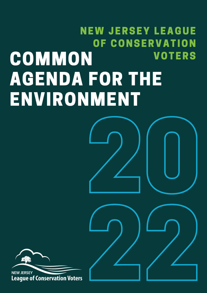# 20 COMMON AGENDA FOR THE ENVIRONMENT NEW JERSEY LEAGUE OF CONSERVATION **VOTERS**

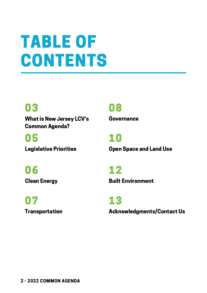## TABLE OF **CONTENTS**

### 03 08

What is New Jersey LCV's Common Agenda?

05 10

Governance

Legislative Priorities **Community Community Community** Constants Land Use

06 12

07 13

**Clean Energy Clean Energy Energy Energy Energy Energy Equilibrium Built Environment** 

Transportation **Acknowledgments/Contact Us**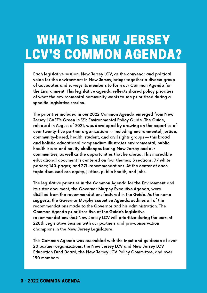### WHAT IS NEW JERSEY LCV'S COMMON AGENDA?

Each legislative session, New Jersey LCV, as the convenor and political voice for the environment in New Jersey, brings together a diverse group of advocates and surveys its members to form our Common Agenda for the Environment. This legislative agenda reflects shared policy priorities of what the environmental community wants to see prioritized during a specific legislative session.

The priorities included in our 2022 Common Agenda emerged from New Jersey LCVEF's Green in '21: Environmental Policy Guide. The Guide, released in August of 2021, was developed by drawing on the expertise of over twenty-five partner organizations -- including environmental, justice, community-based, health, student, and civil rights groups -- this broad and holistic educational compendium illustrates environmental, public health issues and equity challenges facing New Jersey and our communities, as well as the opportunities that lie ahead. This incredible educational document is centered on four themes; 8 sections; 77 white papers; 140-pages; and 371-recommendations. At the center of each topic discussed are equity, justice, public health, and jobs.

The legislative priorities in the Common Agenda for the Environment and its sister document, the Governor Murphy Executive Agenda, were distilled from the recommendations featured in the Guide. As the name suggests, the Governor Murphy Executive Agenda outlines all of the recommendations made to the Governor and his administration. The Common Agenda prioritizes five of the Guide's legislative recommendations that New Jersey LCV will prioritize during the current 220th Legislative Session with our partners and pro-conservation champions in the New Jersey Legislature.

This Common Agenda was assembled with the input and guidance of over 20 partner organizations, the New Jersey LCV and New Jersey LCV Education Fund Board, the New Jersey LCV Policy Committee, and over 150 members.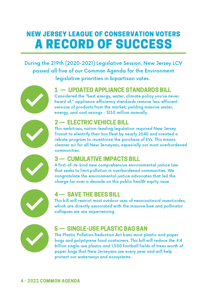### NEW JERSEY LEAGUE OF CONSERVATION VOTERS A RECORD OF SUCCESS

During the 219th (2020-2021) Legislative Session, New Jersey LCV passed all five of our Common Agenda for the Environment legislative priorities in bipartisan votes.



#### 1 — UPDATED APPLIANCE STANDARDS BILL

Considered the "best energy, water, climate policy you've never heard of," appliance efficiency standards remove less-efficient versions of products from the market, yielding massive water, energy, and cost savings - \$130 million annually.



#### 2 — ELECTRIC VEHICLE BILL

This ambitious, nation-leading legislation required New Jersey Transit to electrify their bus fleet by nearly 2040 and created a rebate program to incentivize the purchase of EVs. This means cleaner air for all New Jerseyans, especially our most overburdened communities.

#### 3 — CUMULATIVE IMPACTS BILL

A first-of-its-kind new comprehensive environmental justice law that seeks to limit pollution in overburdened communities. We congratulate the environmental justice advocates that led the charge for over a decade on this public health equity issue.



#### 4 — SAVE THE BEES BILL

This bill will restrict most outdoor uses of neonicotinoid insecticides, which are directly associated with the massive bee and pollinator collapses we are experiencing.



#### 5 — SINGLE-USE PLASTIC BAG BAN

The Plastic Pollution Reduction Act bans most plastic and paper bags and polystyrene food containers. This bill will reduce the 4.4 billion single-use plastic and 1,300 football fields of trees worth of paper bags that New Jerseyans use every year and will help protect our waterways and ecosystems.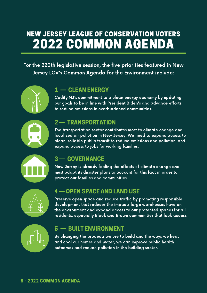### NEW JERSEY LEAGUE OF CONSERVATION VOTERS 2022 COMMON AGENDA

For the 220th legislative session, the five priorities featured in New Jersey LCV's Common Agenda for the Environment include:



#### 1 — CLEAN ENERGY

Codify NJ's commitment to a clean energy economy by updating our goals to be in line with President Biden's and advance efforts to reduce emissions in overburdened communities.



#### 2 — TRANSPORTATION

The transportation sector contributes most to climate change and localized air pollution in New Jersey. We need to expand access to clean, reliable public transit to reduce emissions and pollution, and expand access to jobs for working families.



#### 3 — GOVERNANCE

New Jersey is already feeling the effects of climate change and must adapt its disaster plans to account for this fact in order to protect our families and communities



#### 4 — OPEN SPACE AND LAND USE

Preserve open space and reduce traffic by promoting responsible development that reduces the impacts large warehouses have on the environment and expand access to our protected spaces for all residents, especially Black and Brown communities that lack access.



#### 5 — BUILT ENVIRONMENT

By changing the products we use to build and the ways we heat and cool our homes and water, we can improve public health outcomes and reduce pollution in the building sector.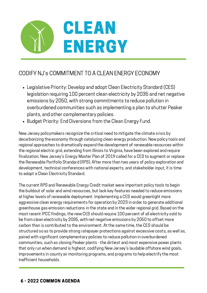

#### CODIFY NJ's COMMITMENT TO A CLEAN ENERGY ECONOMY

- Legislative Priority: Develop and adopt Clean Electricity Standard (CES) legislation requiring 100 percent clean electricity by 2035 and net negative emissions by 2050, with strong commitments to reduce pollution in overburdened communities such as implementing a plan to shutter Peaker plants, and other complementary policies.
- Budget Priority: End Diversions from the Clean Energy Fund.

New Jersey policymakers recognize the critical need to mitigate the climate crisis by decarbonizing the economy through catalyzing clean energy production. New policy tools and regional approaches to dramatically expand the development of renewable resources within the regional electric grid, extending from Illinois to Virginia, have been explored and require finalization. New Jersey's Energy Master Plan of 2019 called for a CES to augment or replace the Renewable Portfolio Standard (RPS). After more than two years of policy exploration and development, technical conferences with national experts, and stakeholder input, it is time to adopt a Clean Electricity Standard.

The current RPS and Renewable Energy Credit market were important policy tools to begin the buildout of solar and wind resources, but lack key features needed to reduce emissions at higher levels of renewable deployment. Implementing a CES would greenlight more aggressive clean energy requirements for operation by 2023 in order to generate additional greenhouse gas emission reductions in the state and in the wider regional grid. Based on the most recent IPCC findings, the new CES should require 100 percent of all electricity sold to be from clean electricity by 2035, with net negative emissions by 2050 to offset more carbon than is contributed to the environment. At the same time, the CES should be structured so as to provide strong ratepayer protections against excessive costs, as well as, paired with significant complementary policies to reduce pollution in overburdened communities, such as closing Peaker plants - the dirtiest and most expensive power plants that only run when demand is highest, codifying New Jersey's laudable offshore wind goals, improvements in county air monitoring programs, and programs to help electrify the most inefficient households.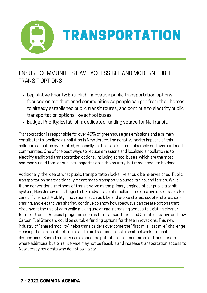

#### ENSURE COMMUNITIES HAVE ACCESSIBLE AND MODERN PUBLIC TRANSIT OPTIONS

- Legislative Priority: Establish innovative public transportation options focused on overburdened communities so people can get from their homes to already established public transit routes, and continue to electrify public transportation options like school buses.
- Budget Priority: Establish a dedicated funding source for NJ Transit.

commanness. She of the sect ways to readed emiscions and resanzed an ponderorne to<br>electrify traditional transportation options, including school buses, which are the most Transportation is responsible for over 45% of greenhouse gas emissions and a primary contributor to localized air pollution in New Jersey. The negative health impacts of this pollution cannot be overstated, especially to the state's most vulnerable and overburdened communities. One of the best ways to reduce emissions and localized air pollution is to commonly used form of public transportation in the country. But more needs to be done.

Additionally, the idea of what public transportation looks like should be re-envisioned. Public transportation has traditionally meant mass transport via buses, trains, and ferries. While these conventional methods of transit serve as the primary engines of our public transit system, New Jersey must begin to take advantage of smaller, more creative options to take cars off the road. Mobility innovations, such as bike and e-bike shares, scooter shares, carsharing, and electric van sharing, continue to show how roadways can create options that circumvent the use of cars while making use of and increasing access to existing cleaner forms of transit. Regional programs such as the Transportation and Climate Initiative and Low Carbon Fuel Standard could be suitable funding options for these innovations. This new industry of "shared mobility" helps transit riders overcome the "first mile, last mile" challenge – easing the burden of getting to and from traditional local transit networks to final destinations. Shared mobility can expand the potential catchment area for transit users where additional bus or rail service may not be feasible and increase transportation access to New Jersey residents who do not own a car.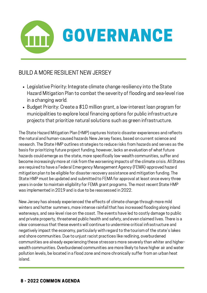

#### BUILD A MORE RESILIENT NEW JERSEY

- Legislative Priority: Integrate climate change resiliency into the State Hazard Mitigation Plan to combat the severity of flooding and sea-level rise in a changing world.
- Budget Priority: Create a \$10 million grant, a low-interest loan program for municipalities to explore local financing options for public infrastructure projects that prioritize natural solutions such as green infrastructure.

The State Hazard Mitigation Plan (HMP) captures historic disaster experiences and reflects the natural and human-caused hazards New Jersey faces, based on current science and research. The State HMP outlines strategies to reduce risks from hazards and serves as the basis for prioritizing future project funding, however, lacks an evaluation of what future hazards could emerge as the state, more specifically low-wealth communities, suffer and become increasingly more at risk from the worsening impacts of the climate crisis. All States are required to have a Federal Emergency Management Agency (FEMA)-approved hazard mitigation plan to be eligible for disaster recovery assistance and mitigation funding. The State HMP must be updated and submitted to FEMA for approval at least once every three years in order to maintain eligibility for FEMA grant programs. The most recent State HMP was implemented in 2019 and is due to be reassessed in 2022.

New Jersey has already experienced the effects of climate change through more mild winters and hotter summers, more intense rainfall that has increased flooding along inland waterways, and sea-level rise on the coast. The events have led to costly damage to public and private property, threatened public health and safety, and even claimed lives. There is a clear consensus that these events will continue to undermine critical infrastructure and negatively impact the economy, particularly with regard to the tourism of the state's lakes and shore communities. Due to unjust racist practices like redlining, overburdened communities are already experiencing these stressors more severely than whiter and higherwealth communities. Overburdened communities are more likely to have higher air and water pollution levels, be located in a flood zone and more chronically suffer from an urban heat island.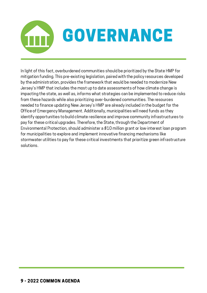

In light of this fact, overburdened communities should be prioritized by the State HMP for mitigation funding. This pre-existing legislation, paired with the policy resources developed by the administration, provides the framework that would be needed to modernize New Jersey's HMP that includes the most up to date assessments of how climate change is impacting the state, as well as, informs what strategies can be implemented to reduce risks from these hazards while also prioritizing over-burdened communities. The resources needed to finance updating New Jersey's HMP are already included in the budget for the Office of Emergency Management. Additionally, municipalities will need funds as they identify opportunities to build climate resilience and improve community infrastructures to pay for these critical upgrades. Therefore, the State, through the Department of Environmental Protection, should administer a \$10 million grant or low-interest loan program for municipalities to explore and implement innovative financing mechanisms like stormwater utilities to pay for these critical investments that prioritize green infrastructure solutions.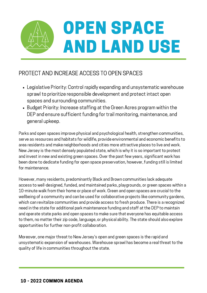

#### PROTECT AND INCREASE ACCESS TO OPEN SPACES

- Legislative Priority: Control rapidly expanding and unsystematic warehouse sprawl to prioritize responsible development and protect intact open spaces and surrounding communities.
- Budget Priority: Increase staffing at the Green Acres program within the DEP and ensure sufficient funding for trail monitoring, maintenance, and general upkeep.

and invest in new and existing green spaces. Over the past few years, significant work has Parks and open spaces improve physical and psychological health, strengthen communities, serve as resources and habitats for wildlife, provide environmental and economic benefits to area residents and make neighborhoods and cities more attractive places to live and work. New Jersey is the most densely populated state, which is why it is so important to protect been done to dedicate funding for open space preservation, however, funding still is limited for maintenance.

However, many residents, predominantly Black and Brown communities lack adequate access to well-designed, funded, and maintained parks, playgrounds, or green spaces within a 10-minute walk from their home or place of work. Green and open spaces are crucial to the wellbeing of a community and can be used for collaborative projects like community gardens, which can revitalize communities and provide access to fresh produce. There is a recognized need in the state for additional park maintenance funding and staff at the DEP to maintain and operate state parks and open spaces to make sure that everyone has equitable access to them, no matter their zip code, language, or physical ability. The state should also explore opportunities for further non-profit collaboration.

Moreover, one major threat to New Jersey's open and green spaces is the rapid and unsystematic expansion of warehouses. Warehouse sprawl has become a real threat to the quality of life in communities throughout the state.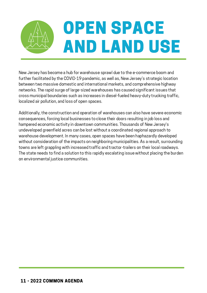# OPEN SPACE AND LAND USE

New Jersey has become a hub for warehouse sprawl due to the e-commerce boom and further facilitated by the COVID-19 pandemic, as well as, New Jersey's strategic location between two massive domestic and international markets, and comprehensive highway networks. The rapid surge of large-sized warehouses has caused significant issues that cross municipal boundaries such as increases in diesel-fueled heavy-duty trucking traffic, localized air pollution, and loss of open spaces.

The state needs to find a solution to this rapidly escalating issue without placing the burden Additionally, the construction and operation of warehouses can also have severe economic consequences, forcing local businesses to close their doors resulting in job loss and hampered economic activity in downtown communities. Thousands of New Jersey's undeveloped greenfield acres can be lost without a coordinated regional approach to warehouse development. In many cases, open spaces have been haphazardly developed without consideration of the impacts on neighboring municipalities. As a result, surrounding towns are left grappling with increased traffic and tractor-trailers on their local roadways. on environmental justice communities.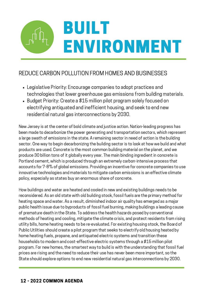# BUILT ENVIRONMENT

#### REDUCE CARBON POLLUTION FROM HOMES AND BUSINESSES

- Legislative Priority: Encourage companies to adopt practices and technologies that lower greenhouse gas emissions from building materials.
- Budget Priority: Create a \$15 million pilot program solely focused on electrifying antiquated and inefficient housing, and seek to end new residential natural gas interconnections by 2030.

produce 30 billion tons of it globally every year. The main binding ingredient in concrete is New Jersey is at the center of bold climate and justice action. Nation-leading progress has been made to decarbonize the power generating and transportation sectors, which represent a large swath of emissions in the state. A remaining sector in need of action is the building sector. One way to begin decarbonizing the building sector is to look at how we build and what products are used. Concrete is the most common building material on the planet, and we Portland cement, which is produced through an extremely carbon-intensive process that accounts for 7-8% of global emissions. Providing an incentive for concrete companies to use innovative technologies and materials to mitigate carbon emissions is an effective climate policy, especially as states buy an enormous share of concrete.

How buildings and water are heated and cooled in new and existing buildings needs to be reconsidered. As an old state with old building stock, fossil fuels are the primary method for heating space and water. As a result, diminished indoor air quality has emerged as a major public health issue due to byproducts of fossil fuel burning, making buildings a leading cause of premature death in the State. To address the health hazards posed by conventional methods of heating and cooling, mitigate the climate crisis, and protect residents from rising utility bills, home heating needs to be re-evaluated. For existing housing stock, the Board of Public Utilities should create a pilot program that seeks to electrify old housing heated by home heating fuels, propane, and antiquated electric systems and transition these households to modern and cost-effective electric systems through a \$15 million pilot program. For new homes, the smartest way to build is with the understanding that fossil fuel prices are rising and the need to reduce their use has never been more important, so the State should explore options to end new residential natural gas interconnections by 2030.